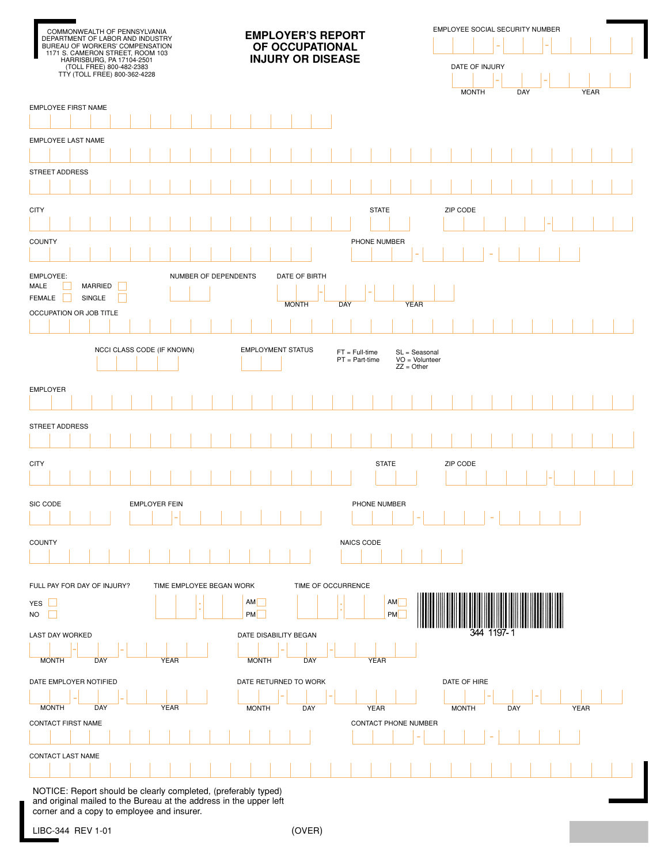| COMMONWEALTH OF PENNSYLVANIA                                                                                                                                     | <b>EMPLOYER'S REPORT</b>     |  |                          |                      |  |                 |  |              |                          | EMPLOYEE SOCIAL SECURITY NUMBER |                    |     |                                      |                      |                        |                                |  |              |              |        |     |  |  |             |  |  |
|------------------------------------------------------------------------------------------------------------------------------------------------------------------|------------------------------|--|--------------------------|----------------------|--|-----------------|--|--------------|--------------------------|---------------------------------|--------------------|-----|--------------------------------------|----------------------|------------------------|--------------------------------|--|--------------|--------------|--------|-----|--|--|-------------|--|--|
| DEPARTMENT OF LABOR AND INDUSTRY<br>BUREAU OF WORKERS' COMPENSATION<br>1171 S. CAMERON STREET, ROOM 103<br>HARRISBURG, PA 17104-2501<br>(TOLL FREE) 800-482-2383 |                              |  |                          |                      |  | OF OCCUPATIONAL |  |              |                          |                                 |                    |     |                                      |                      |                        |                                |  |              |              |        |     |  |  |             |  |  |
|                                                                                                                                                                  |                              |  |                          |                      |  |                 |  |              | <b>INJURY OR DISEASE</b> |                                 |                    |     |                                      |                      |                        | DATE OF INJURY                 |  |              |              |        |     |  |  |             |  |  |
|                                                                                                                                                                  | TTY (TOLL FREE) 800-362-4228 |  |                          |                      |  |                 |  |              |                          |                                 |                    |     |                                      |                      |                        |                                |  |              |              |        |     |  |  |             |  |  |
|                                                                                                                                                                  |                              |  |                          |                      |  |                 |  |              |                          |                                 |                    |     |                                      |                      |                        |                                |  |              | <b>MONTH</b> |        | DAY |  |  | <b>YEAR</b> |  |  |
| EMPLOYEE FIRST NAME                                                                                                                                              |                              |  |                          |                      |  |                 |  |              |                          |                                 |                    |     |                                      |                      |                        |                                |  |              |              |        |     |  |  |             |  |  |
|                                                                                                                                                                  |                              |  |                          |                      |  |                 |  |              |                          |                                 |                    |     |                                      |                      |                        |                                |  |              |              |        |     |  |  |             |  |  |
| EMPLOYEE LAST NAME                                                                                                                                               |                              |  |                          |                      |  |                 |  |              |                          |                                 |                    |     |                                      |                      |                        |                                |  |              |              |        |     |  |  |             |  |  |
| STREET ADDRESS                                                                                                                                                   |                              |  |                          |                      |  |                 |  |              |                          |                                 |                    |     |                                      |                      |                        |                                |  |              |              |        |     |  |  |             |  |  |
|                                                                                                                                                                  |                              |  |                          |                      |  |                 |  |              |                          |                                 |                    |     |                                      |                      |                        |                                |  |              |              |        |     |  |  |             |  |  |
|                                                                                                                                                                  |                              |  |                          |                      |  |                 |  |              |                          |                                 |                    |     |                                      |                      |                        |                                |  |              |              |        |     |  |  |             |  |  |
| <b>CITY</b>                                                                                                                                                      |                              |  |                          |                      |  |                 |  |              |                          |                                 |                    |     |                                      | <b>STATE</b>         |                        |                                |  | ZIP CODE     |              |        |     |  |  |             |  |  |
|                                                                                                                                                                  |                              |  |                          |                      |  |                 |  |              |                          |                                 |                    |     |                                      |                      |                        |                                |  |              |              |        |     |  |  |             |  |  |
| <b>COUNTY</b>                                                                                                                                                    |                              |  |                          |                      |  |                 |  |              |                          |                                 |                    |     |                                      | PHONE NUMBER         |                        |                                |  |              |              |        |     |  |  |             |  |  |
|                                                                                                                                                                  |                              |  |                          |                      |  |                 |  |              |                          |                                 |                    |     |                                      |                      |                        |                                |  |              |              |        |     |  |  |             |  |  |
| EMPLOYEE:<br>MALE                                                                                                                                                | MARRIED                      |  |                          | NUMBER OF DEPENDENTS |  |                 |  |              |                          | DATE OF BIRTH                   |                    |     |                                      |                      |                        |                                |  |              |              |        |     |  |  |             |  |  |
| FEMALE                                                                                                                                                           | SINGLE                       |  |                          |                      |  |                 |  |              |                          | <b>MONTH</b>                    |                    | DAY |                                      |                      |                        | <b>YEAR</b>                    |  |              |              |        |     |  |  |             |  |  |
| OCCUPATION OR JOB TITLE                                                                                                                                          |                              |  |                          |                      |  |                 |  |              |                          |                                 |                    |     |                                      |                      |                        |                                |  |              |              |        |     |  |  |             |  |  |
|                                                                                                                                                                  |                              |  |                          |                      |  |                 |  |              |                          |                                 |                    |     |                                      |                      |                        |                                |  |              |              |        |     |  |  |             |  |  |
|                                                                                                                                                                  | NCCI CLASS CODE (IF KNOWN)   |  |                          |                      |  |                 |  |              |                          | <b>EMPLOYMENT STATUS</b>        |                    |     | $FT = Full-time$<br>$PT = Part-time$ |                      |                        | SL = Seasonal<br>$VO = Volume$ |  |              |              |        |     |  |  |             |  |  |
|                                                                                                                                                                  |                              |  |                          |                      |  |                 |  |              |                          |                                 |                    |     |                                      |                      |                        | $ZZ = Other$                   |  |              |              |        |     |  |  |             |  |  |
| EMPLOYER                                                                                                                                                         |                              |  |                          |                      |  |                 |  |              |                          |                                 |                    |     |                                      |                      |                        |                                |  |              |              |        |     |  |  |             |  |  |
|                                                                                                                                                                  |                              |  |                          |                      |  |                 |  |              |                          |                                 |                    |     |                                      |                      |                        |                                |  |              |              |        |     |  |  |             |  |  |
| STREET ADDRESS                                                                                                                                                   |                              |  |                          |                      |  |                 |  |              |                          |                                 |                    |     |                                      |                      |                        |                                |  |              |              |        |     |  |  |             |  |  |
|                                                                                                                                                                  |                              |  |                          |                      |  |                 |  |              |                          |                                 |                    |     |                                      |                      |                        |                                |  |              |              |        |     |  |  |             |  |  |
|                                                                                                                                                                  |                              |  |                          |                      |  |                 |  |              |                          |                                 |                    |     |                                      | <b>STATE</b>         |                        |                                |  | ZIP CODE     |              |        |     |  |  |             |  |  |
| CITY                                                                                                                                                             |                              |  |                          |                      |  |                 |  |              |                          |                                 |                    |     |                                      |                      |                        |                                |  |              |              |        |     |  |  |             |  |  |
|                                                                                                                                                                  |                              |  |                          |                      |  |                 |  |              |                          |                                 |                    |     |                                      |                      |                        |                                |  |              |              |        |     |  |  |             |  |  |
|                                                                                                                                                                  |                              |  |                          |                      |  |                 |  |              |                          |                                 |                    |     |                                      |                      |                        |                                |  |              |              |        |     |  |  |             |  |  |
|                                                                                                                                                                  |                              |  | <b>EMPLOYER FEIN</b>     |                      |  |                 |  |              |                          |                                 |                    |     |                                      | PHONE NUMBER         |                        |                                |  |              |              |        |     |  |  |             |  |  |
| SIC CODE                                                                                                                                                         |                              |  |                          |                      |  |                 |  |              |                          |                                 |                    |     |                                      |                      |                        |                                |  |              |              |        |     |  |  |             |  |  |
| <b>COUNTY</b>                                                                                                                                                    |                              |  |                          |                      |  |                 |  |              |                          |                                 |                    |     | NAICS CODE                           |                      |                        |                                |  |              |              |        |     |  |  |             |  |  |
|                                                                                                                                                                  |                              |  |                          |                      |  |                 |  |              |                          |                                 |                    |     |                                      |                      |                        |                                |  |              |              |        |     |  |  |             |  |  |
|                                                                                                                                                                  |                              |  |                          |                      |  |                 |  |              |                          |                                 |                    |     |                                      |                      |                        |                                |  |              |              |        |     |  |  |             |  |  |
| FULL PAY FOR DAY OF INJURY?                                                                                                                                      |                              |  | TIME EMPLOYEE BEGAN WORK |                      |  |                 |  |              |                          |                                 | TIME OF OCCURRENCE |     |                                      |                      |                        |                                |  |              |              |        |     |  |  |             |  |  |
|                                                                                                                                                                  |                              |  |                          |                      |  |                 |  | AM<br>PM     |                          |                                 |                    |     |                                      |                      | <b>AM</b><br><b>PM</b> |                                |  |              |              |        |     |  |  |             |  |  |
|                                                                                                                                                                  |                              |  |                          |                      |  |                 |  |              |                          |                                 |                    |     |                                      |                      |                        |                                |  |              |              | 1197-1 |     |  |  |             |  |  |
|                                                                                                                                                                  |                              |  |                          |                      |  |                 |  |              |                          | DATE DISABILITY BEGAN           |                    |     |                                      |                      |                        |                                |  |              |              |        |     |  |  |             |  |  |
| <b>MONTH</b>                                                                                                                                                     | <b>DAY</b>                   |  | <b>YEAR</b>              |                      |  |                 |  | <b>MONTH</b> |                          | <b>DAY</b>                      |                    |     |                                      | <b>YEAR</b>          |                        |                                |  |              |              |        |     |  |  |             |  |  |
|                                                                                                                                                                  |                              |  |                          |                      |  |                 |  |              |                          | DATE RETURNED TO WORK           |                    |     |                                      |                      |                        |                                |  | DATE OF HIRE |              |        |     |  |  |             |  |  |
|                                                                                                                                                                  |                              |  |                          |                      |  |                 |  |              |                          |                                 |                    |     |                                      |                      |                        |                                |  |              |              |        |     |  |  |             |  |  |
| <b>MONTH</b>                                                                                                                                                     | <b>DAY</b>                   |  | <b>YEAR</b>              |                      |  |                 |  | <b>MONTH</b> |                          | DAY                             |                    |     |                                      | <b>YEAR</b>          |                        |                                |  | <b>MONTH</b> |              |        | DAY |  |  | <b>YEAR</b> |  |  |
|                                                                                                                                                                  |                              |  |                          |                      |  |                 |  |              |                          |                                 |                    |     |                                      | CONTACT PHONE NUMBER |                        |                                |  |              |              |        |     |  |  |             |  |  |
|                                                                                                                                                                  |                              |  |                          |                      |  |                 |  |              |                          |                                 |                    |     |                                      |                      |                        |                                |  |              |              |        |     |  |  |             |  |  |
| YES L<br>NO<br>LAST DAY WORKED<br>DATE EMPLOYER NOTIFIED<br>CONTACT FIRST NAME<br>CONTACT LAST NAME                                                              |                              |  |                          |                      |  |                 |  |              |                          |                                 |                    |     |                                      |                      |                        |                                |  |              |              |        |     |  |  |             |  |  |

and original mailed to the Bureau at the address in the upper left corner and a copy to employee and insurer.